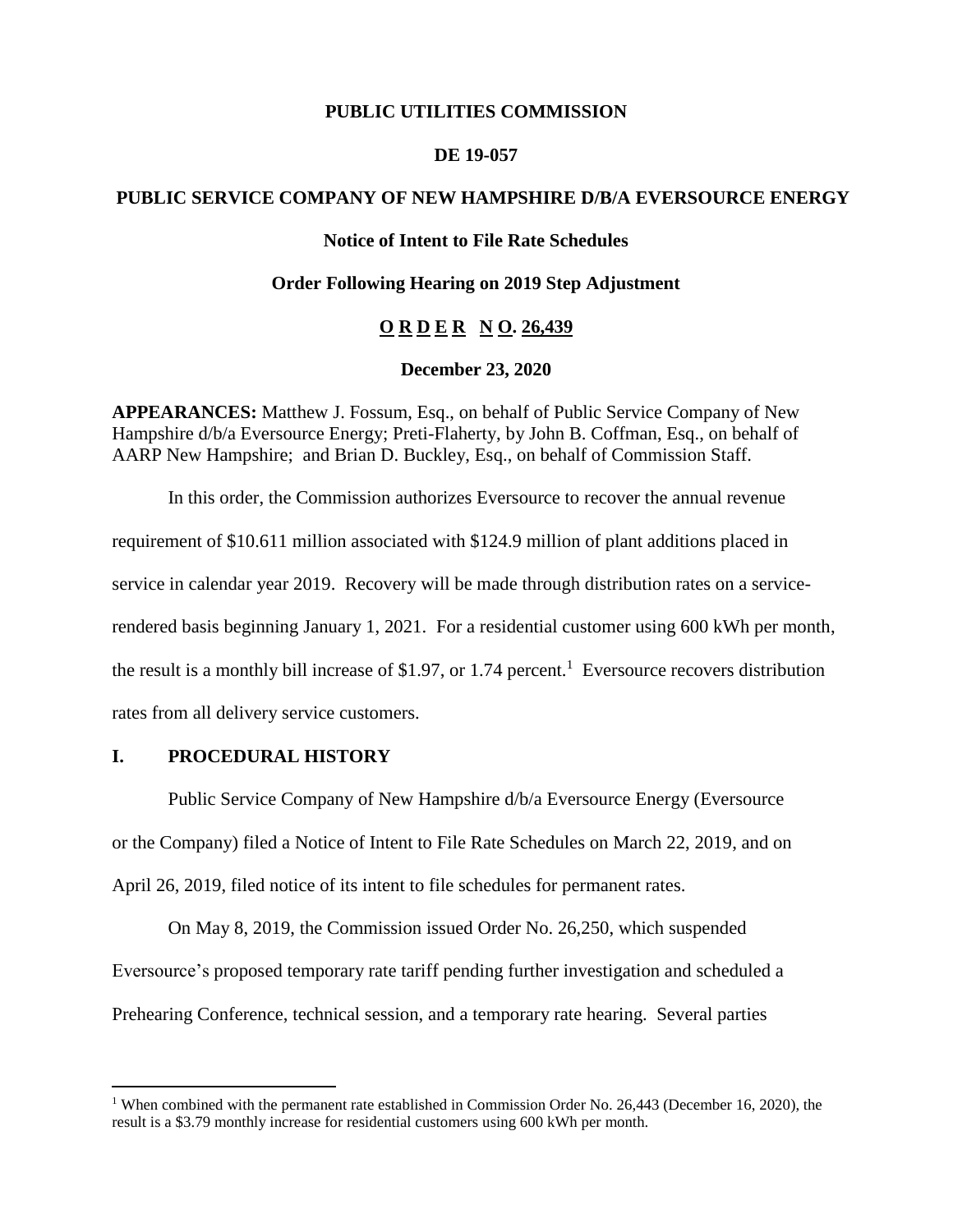#### **PUBLIC UTILITIES COMMISSION**

#### **DE 19-057**

# **PUBLIC SERVICE COMPANY OF NEW HAMPSHIRE D/B/A EVERSOURCE ENERGY**

# **Notice of Intent to File Rate Schedules**

#### **Order Following Hearing on 2019 Step Adjustment**

# **O R D E R N O. 26,439**

#### **December 23, 2020**

**APPEARANCES:** Matthew J. Fossum, Esq., on behalf of Public Service Company of New Hampshire d/b/a Eversource Energy; Preti-Flaherty, by John B. Coffman, Esq., on behalf of AARP New Hampshire; and Brian D. Buckley, Esq., on behalf of Commission Staff.

In this order, the Commission authorizes Eversource to recover the annual revenue requirement of \$10.611 million associated with \$124.9 million of plant additions placed in service in calendar year 2019. Recovery will be made through distribution rates on a servicerendered basis beginning January 1, 2021. For a residential customer using 600 kWh per month, the result is a monthly bill increase of \$1.97, or 1.74 percent.<sup>1</sup> Eversource recovers distribution rates from all delivery service customers.

# **I. PROCEDURAL HISTORY**

 $\overline{a}$ 

Public Service Company of New Hampshire d/b/a Eversource Energy (Eversource or the Company) filed a Notice of Intent to File Rate Schedules on March 22, 2019, and on April 26, 2019, filed notice of its intent to file schedules for permanent rates.

On May 8, 2019, the Commission issued Order No. 26,250, which suspended Eversource's proposed temporary rate tariff pending further investigation and scheduled a Prehearing Conference, technical session, and a temporary rate hearing. Several parties

<sup>&</sup>lt;sup>1</sup> When combined with the permanent rate established in Commission Order No. 26,443 (December 16, 2020), the result is a \$3.79 monthly increase for residential customers using 600 kWh per month.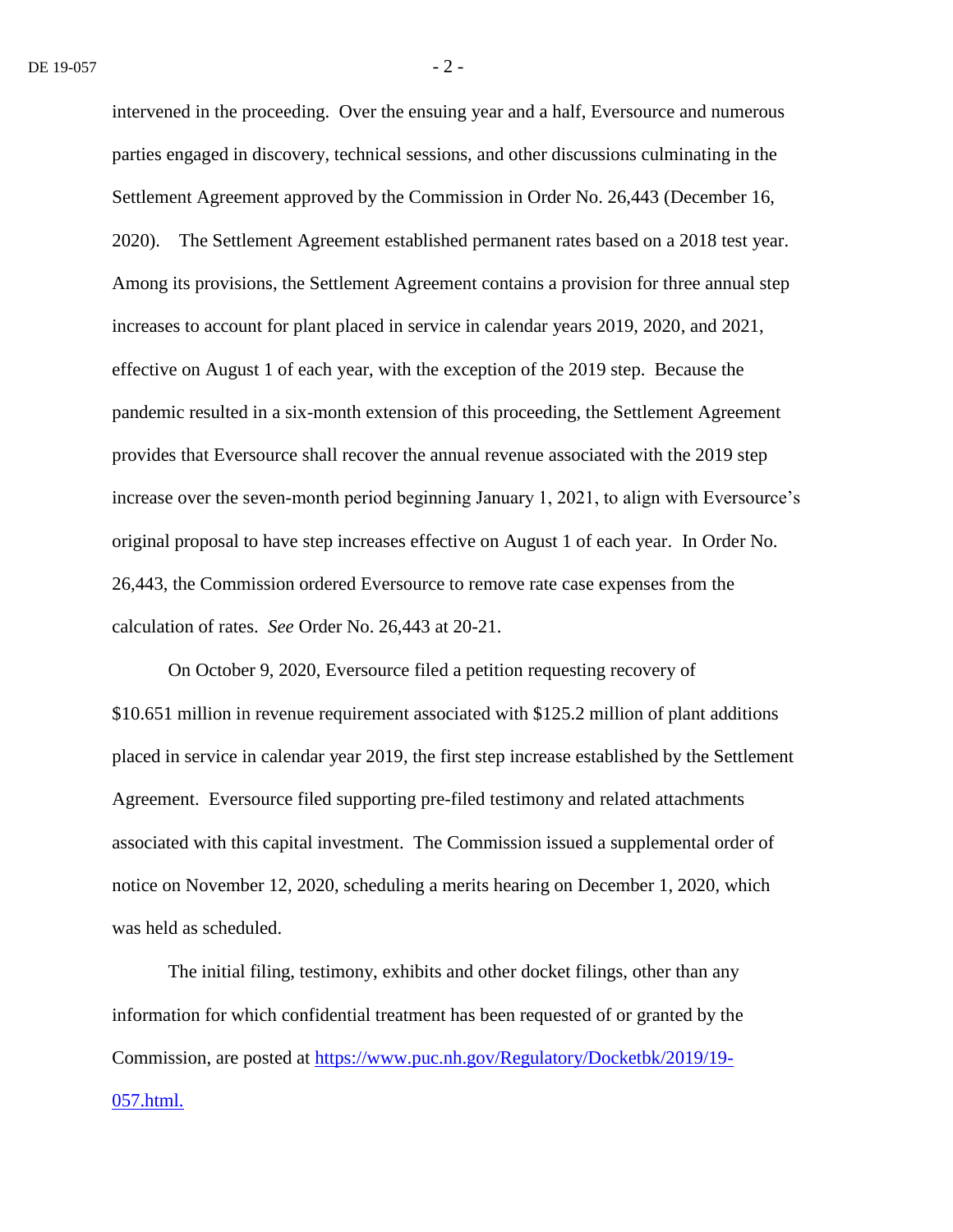intervened in the proceeding. Over the ensuing year and a half, Eversource and numerous parties engaged in discovery, technical sessions, and other discussions culminating in the Settlement Agreement approved by the Commission in Order No. 26,443 (December 16, 2020). The Settlement Agreement established permanent rates based on a 2018 test year. Among its provisions, the Settlement Agreement contains a provision for three annual step increases to account for plant placed in service in calendar years 2019, 2020, and 2021, effective on August 1 of each year, with the exception of the 2019 step. Because the pandemic resulted in a six-month extension of this proceeding, the Settlement Agreement provides that Eversource shall recover the annual revenue associated with the 2019 step increase over the seven-month period beginning January 1, 2021, to align with Eversource's original proposal to have step increases effective on August 1 of each year. In Order No. 26,443, the Commission ordered Eversource to remove rate case expenses from the calculation of rates. *See* Order No. 26,443 at 20-21.

On October 9, 2020, Eversource filed a petition requesting recovery of \$10.651 million in revenue requirement associated with \$125.2 million of plant additions placed in service in calendar year 2019, the first step increase established by the Settlement Agreement. Eversource filed supporting pre-filed testimony and related attachments associated with this capital investment. The Commission issued a supplemental order of notice on November 12, 2020, scheduling a merits hearing on December 1, 2020, which was held as scheduled.

The initial filing, testimony, exhibits and other docket filings, other than any information for which confidential treatment has been requested of or granted by the Commission, are posted at [https://www.puc.nh.gov/Regulatory/Docketbk/2019/19-](https://www.puc.nh.gov/Regulatory/Docketbk/2019/19-057.html.) [057.html.](https://www.puc.nh.gov/Regulatory/Docketbk/2019/19-057.html.)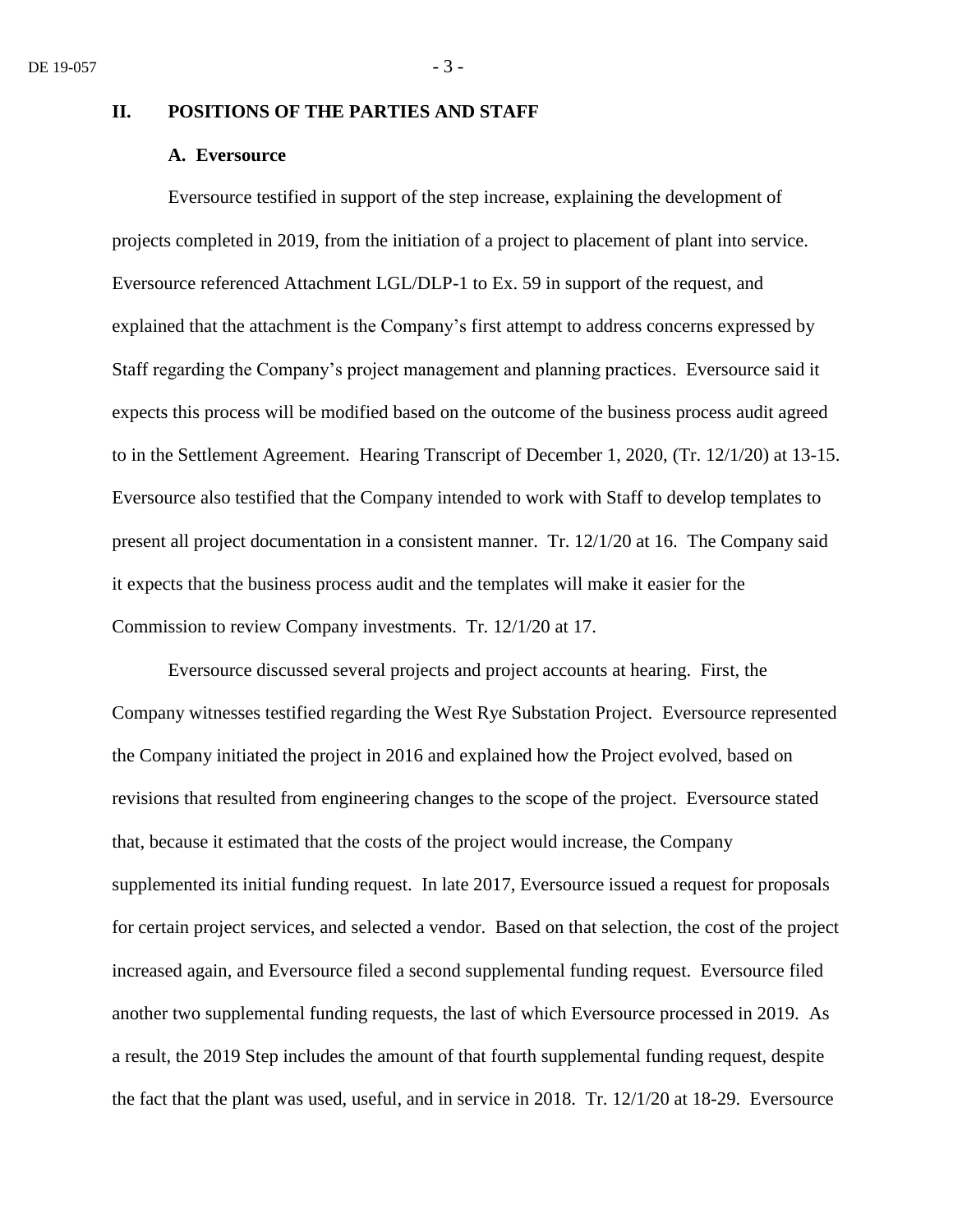### **II. POSITIONS OF THE PARTIES AND STAFF**

# **A. Eversource**

Eversource testified in support of the step increase, explaining the development of projects completed in 2019, from the initiation of a project to placement of plant into service. Eversource referenced Attachment LGL/DLP-1 to Ex. 59 in support of the request, and explained that the attachment is the Company's first attempt to address concerns expressed by Staff regarding the Company's project management and planning practices. Eversource said it expects this process will be modified based on the outcome of the business process audit agreed to in the Settlement Agreement. Hearing Transcript of December 1, 2020, (Tr. 12/1/20) at 13-15. Eversource also testified that the Company intended to work with Staff to develop templates to present all project documentation in a consistent manner. Tr. 12/1/20 at 16. The Company said it expects that the business process audit and the templates will make it easier for the Commission to review Company investments. Tr. 12/1/20 at 17.

Eversource discussed several projects and project accounts at hearing. First, the Company witnesses testified regarding the West Rye Substation Project. Eversource represented the Company initiated the project in 2016 and explained how the Project evolved, based on revisions that resulted from engineering changes to the scope of the project. Eversource stated that, because it estimated that the costs of the project would increase, the Company supplemented its initial funding request. In late 2017, Eversource issued a request for proposals for certain project services, and selected a vendor. Based on that selection, the cost of the project increased again, and Eversource filed a second supplemental funding request. Eversource filed another two supplemental funding requests, the last of which Eversource processed in 2019. As a result, the 2019 Step includes the amount of that fourth supplemental funding request, despite the fact that the plant was used, useful, and in service in 2018. Tr. 12/1/20 at 18-29. Eversource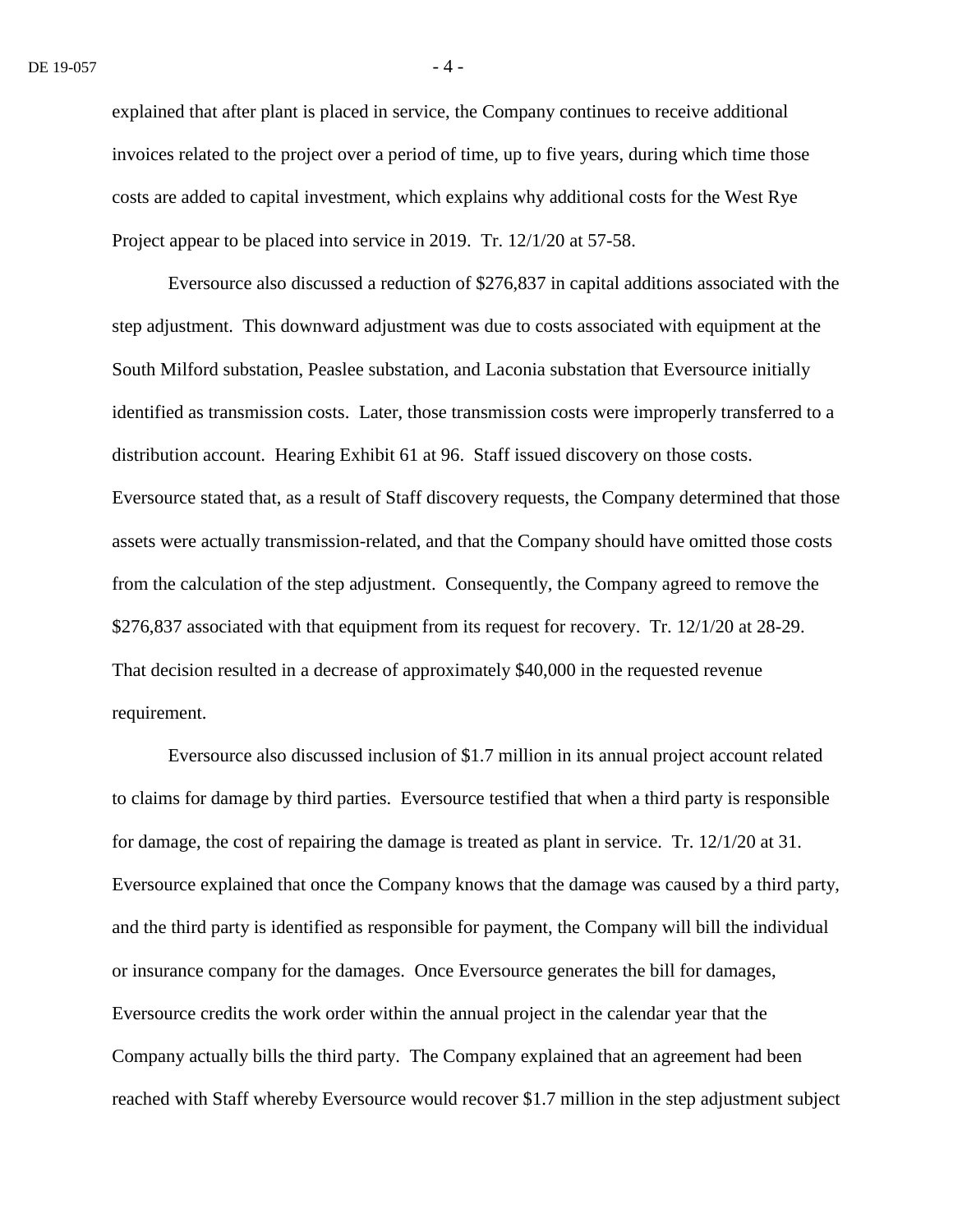explained that after plant is placed in service, the Company continues to receive additional invoices related to the project over a period of time, up to five years, during which time those costs are added to capital investment, which explains why additional costs for the West Rye Project appear to be placed into service in 2019. Tr. 12/1/20 at 57-58.

Eversource also discussed a reduction of \$276,837 in capital additions associated with the step adjustment. This downward adjustment was due to costs associated with equipment at the South Milford substation, Peaslee substation, and Laconia substation that Eversource initially identified as transmission costs. Later, those transmission costs were improperly transferred to a distribution account. Hearing Exhibit 61 at 96. Staff issued discovery on those costs. Eversource stated that, as a result of Staff discovery requests, the Company determined that those assets were actually transmission-related, and that the Company should have omitted those costs from the calculation of the step adjustment. Consequently, the Company agreed to remove the \$276,837 associated with that equipment from its request for recovery. Tr. 12/1/20 at 28-29. That decision resulted in a decrease of approximately \$40,000 in the requested revenue requirement.

Eversource also discussed inclusion of \$1.7 million in its annual project account related to claims for damage by third parties. Eversource testified that when a third party is responsible for damage, the cost of repairing the damage is treated as plant in service. Tr. 12/1/20 at 31. Eversource explained that once the Company knows that the damage was caused by a third party, and the third party is identified as responsible for payment, the Company will bill the individual or insurance company for the damages. Once Eversource generates the bill for damages, Eversource credits the work order within the annual project in the calendar year that the Company actually bills the third party. The Company explained that an agreement had been reached with Staff whereby Eversource would recover \$1.7 million in the step adjustment subject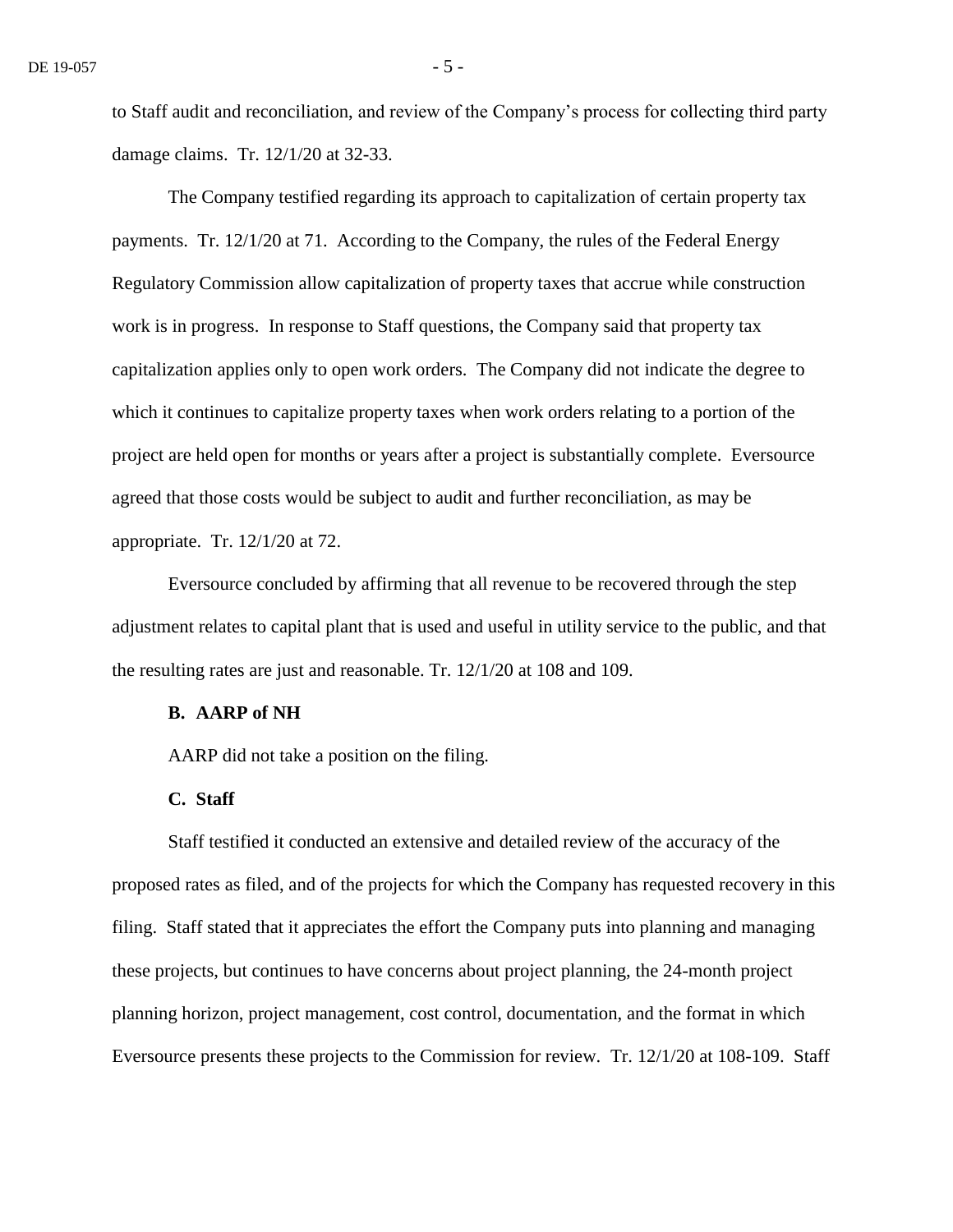to Staff audit and reconciliation, and review of the Company's process for collecting third party damage claims. Tr. 12/1/20 at 32-33.

The Company testified regarding its approach to capitalization of certain property tax payments. Tr. 12/1/20 at 71. According to the Company, the rules of the Federal Energy Regulatory Commission allow capitalization of property taxes that accrue while construction work is in progress. In response to Staff questions, the Company said that property tax capitalization applies only to open work orders. The Company did not indicate the degree to which it continues to capitalize property taxes when work orders relating to a portion of the project are held open for months or years after a project is substantially complete. Eversource agreed that those costs would be subject to audit and further reconciliation, as may be appropriate. Tr. 12/1/20 at 72.

Eversource concluded by affirming that all revenue to be recovered through the step adjustment relates to capital plant that is used and useful in utility service to the public, and that the resulting rates are just and reasonable. Tr. 12/1/20 at 108 and 109.

# **B. AARP of NH**

AARP did not take a position on the filing.

#### **C. Staff**

Staff testified it conducted an extensive and detailed review of the accuracy of the proposed rates as filed, and of the projects for which the Company has requested recovery in this filing. Staff stated that it appreciates the effort the Company puts into planning and managing these projects, but continues to have concerns about project planning, the 24-month project planning horizon, project management, cost control, documentation, and the format in which Eversource presents these projects to the Commission for review. Tr. 12/1/20 at 108-109. Staff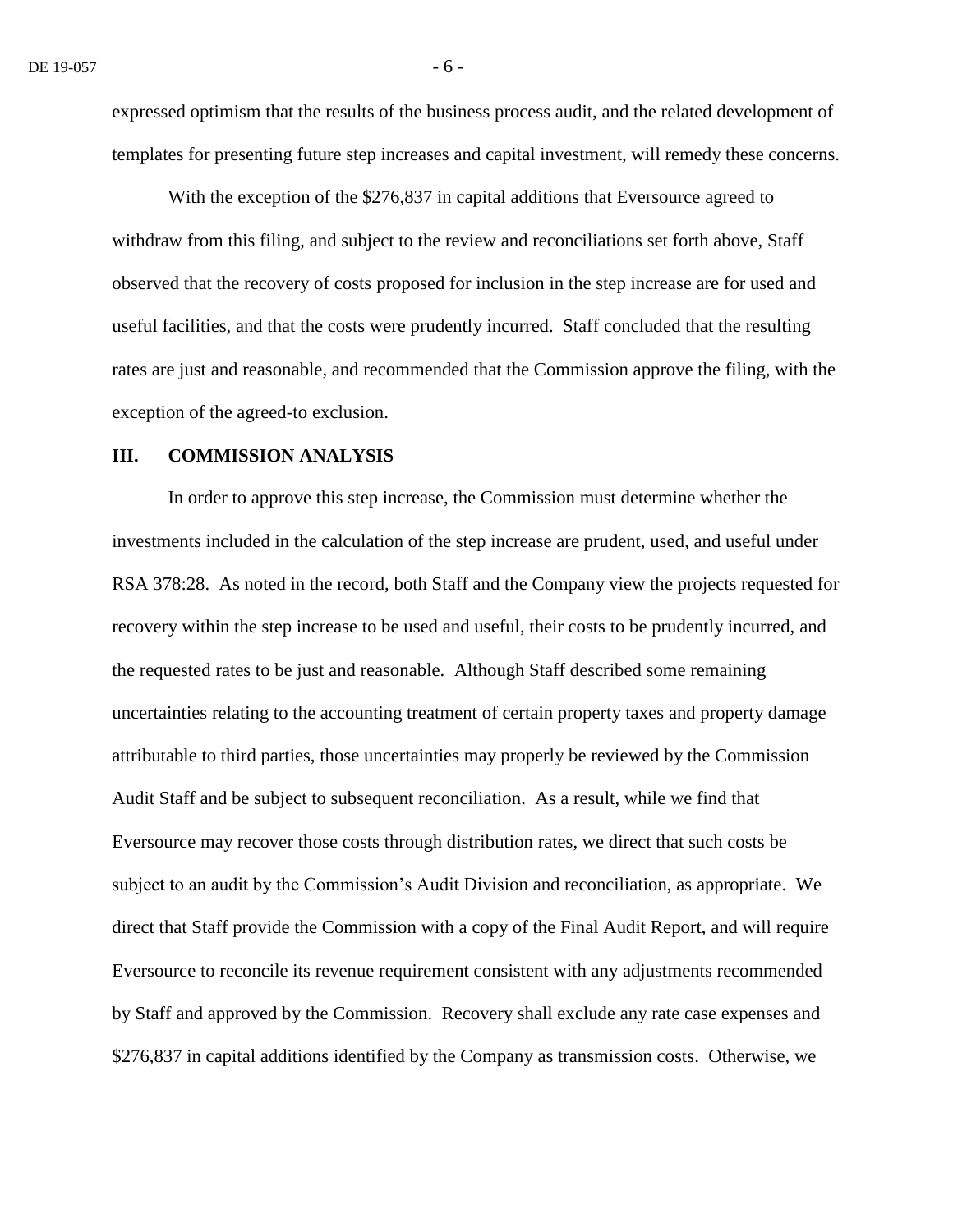expressed optimism that the results of the business process audit, and the related development of templates for presenting future step increases and capital investment, will remedy these concerns.

With the exception of the \$276,837 in capital additions that Eversource agreed to withdraw from this filing, and subject to the review and reconciliations set forth above, Staff observed that the recovery of costs proposed for inclusion in the step increase are for used and useful facilities, and that the costs were prudently incurred. Staff concluded that the resulting rates are just and reasonable, and recommended that the Commission approve the filing, with the exception of the agreed-to exclusion.

#### **III. COMMISSION ANALYSIS**

In order to approve this step increase, the Commission must determine whether the investments included in the calculation of the step increase are prudent, used, and useful under RSA 378:28. As noted in the record, both Staff and the Company view the projects requested for recovery within the step increase to be used and useful, their costs to be prudently incurred, and the requested rates to be just and reasonable. Although Staff described some remaining uncertainties relating to the accounting treatment of certain property taxes and property damage attributable to third parties, those uncertainties may properly be reviewed by the Commission Audit Staff and be subject to subsequent reconciliation. As a result, while we find that Eversource may recover those costs through distribution rates, we direct that such costs be subject to an audit by the Commission's Audit Division and reconciliation, as appropriate. We direct that Staff provide the Commission with a copy of the Final Audit Report, and will require Eversource to reconcile its revenue requirement consistent with any adjustments recommended by Staff and approved by the Commission. Recovery shall exclude any rate case expenses and \$276,837 in capital additions identified by the Company as transmission costs. Otherwise, we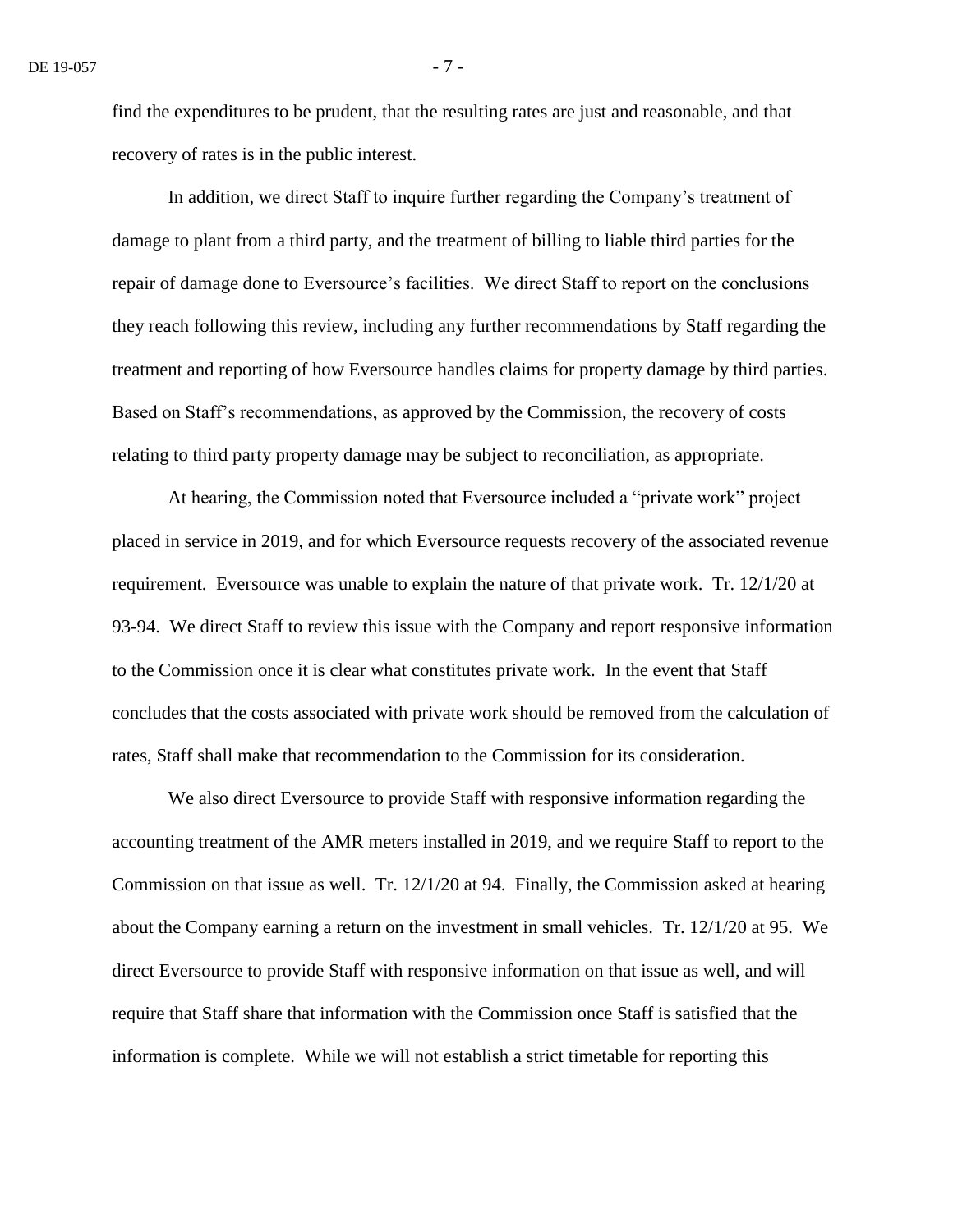find the expenditures to be prudent, that the resulting rates are just and reasonable, and that recovery of rates is in the public interest.

In addition, we direct Staff to inquire further regarding the Company's treatment of damage to plant from a third party, and the treatment of billing to liable third parties for the repair of damage done to Eversource's facilities. We direct Staff to report on the conclusions they reach following this review, including any further recommendations by Staff regarding the treatment and reporting of how Eversource handles claims for property damage by third parties. Based on Staff's recommendations, as approved by the Commission, the recovery of costs relating to third party property damage may be subject to reconciliation, as appropriate.

At hearing, the Commission noted that Eversource included a "private work" project placed in service in 2019, and for which Eversource requests recovery of the associated revenue requirement. Eversource was unable to explain the nature of that private work. Tr. 12/1/20 at 93-94. We direct Staff to review this issue with the Company and report responsive information to the Commission once it is clear what constitutes private work. In the event that Staff concludes that the costs associated with private work should be removed from the calculation of rates, Staff shall make that recommendation to the Commission for its consideration.

We also direct Eversource to provide Staff with responsive information regarding the accounting treatment of the AMR meters installed in 2019, and we require Staff to report to the Commission on that issue as well. Tr. 12/1/20 at 94. Finally, the Commission asked at hearing about the Company earning a return on the investment in small vehicles. Tr. 12/1/20 at 95. We direct Eversource to provide Staff with responsive information on that issue as well, and will require that Staff share that information with the Commission once Staff is satisfied that the information is complete. While we will not establish a strict timetable for reporting this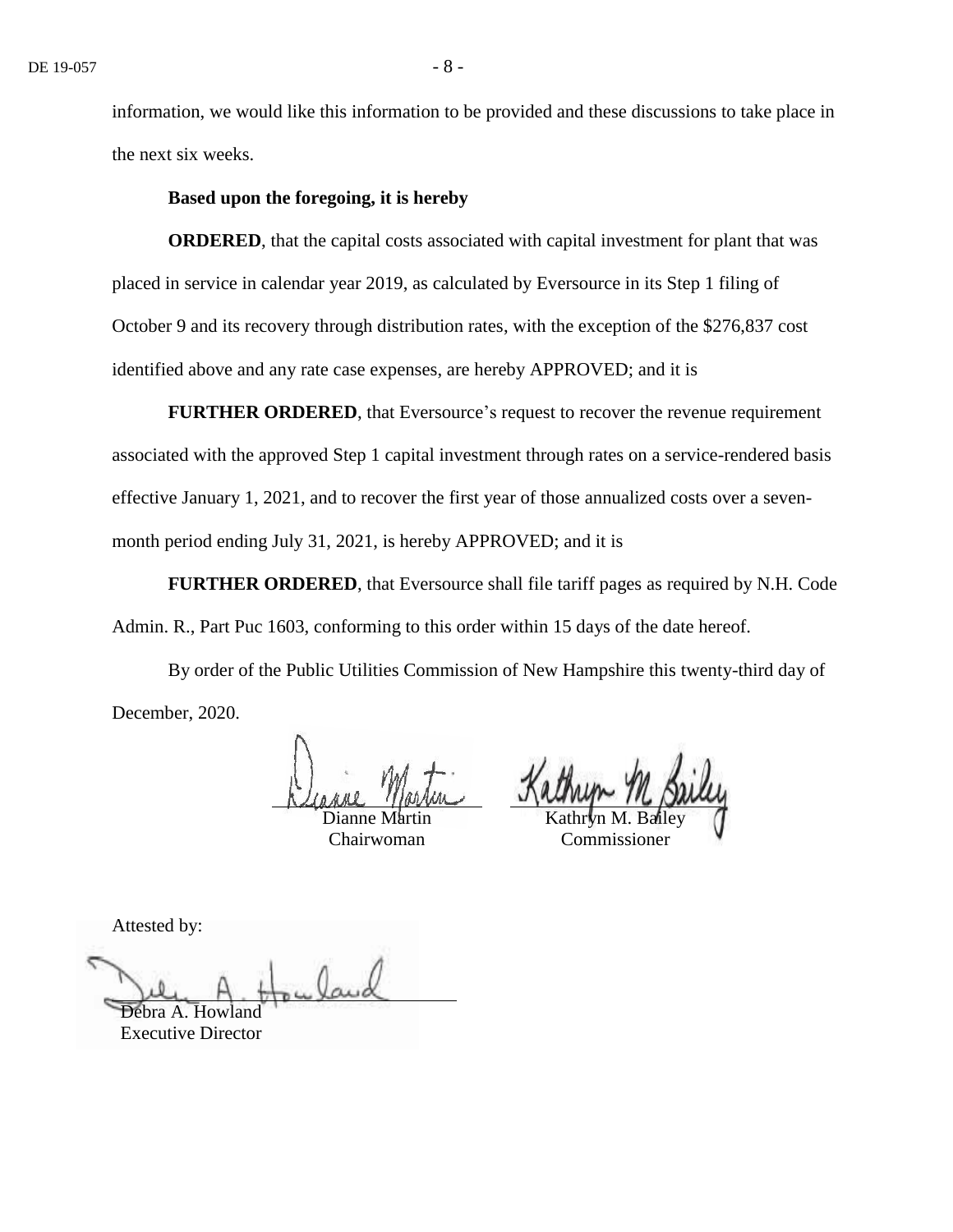information, we would like this information to be provided and these discussions to take place in the next six weeks.

#### **Based upon the foregoing, it is hereby**

**ORDERED**, that the capital costs associated with capital investment for plant that was placed in service in calendar year 2019, as calculated by Eversource in its Step 1 filing of October 9 and its recovery through distribution rates, with the exception of the \$276,837 cost identified above and any rate case expenses, are hereby APPROVED; and it is

**FURTHER ORDERED, that Eversource's request to recover the revenue requirement** associated with the approved Step 1 capital investment through rates on a service-rendered basis effective January 1, 2021, and to recover the first year of those annualized costs over a sevenmonth period ending July 31, 2021, is hereby APPROVED; and it is

**FURTHER ORDERED**, that Eversource shall file tariff pages as required by N.H. Code Admin. R., Part Puc 1603, conforming to this order within 15 days of the date hereof.

By order of the Public Utilities Commission of New Hampshire this twenty-third day of December, 2020.

Dianne Martin

Chairwoman

Kathryn M. Bailey

Commissioner

Attested by:

Debra A. How Executive Director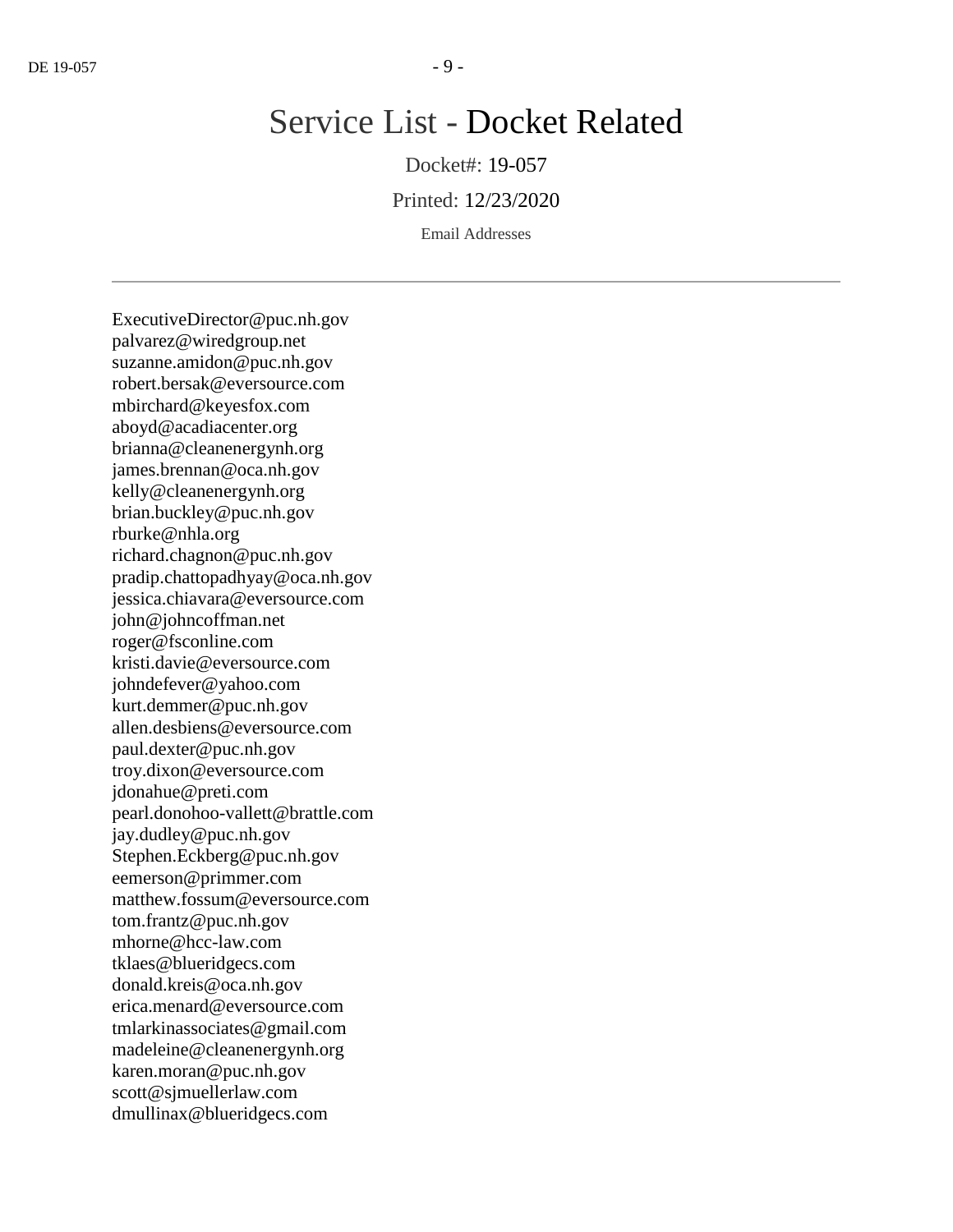# Service List - Docket Related

Docket#: 19-057

Printed: 12/23/2020

Email Addresses

ExecutiveDirector@puc.nh.gov palvarez@wiredgroup.net suzanne.amidon@puc.nh.gov robert.bersak@eversource.com mbirchard@keyesfox.com aboyd@acadiacenter.org brianna@cleanenergynh.org james.brennan@oca.nh.gov kelly@cleanenergynh.org brian.buckley@puc.nh.gov rburke@nhla.org richard.chagnon@puc.nh.gov pradip.chattopadhyay@oca.nh.gov jessica.chiavara@eversource.com john@johncoffman.net roger@fsconline.com kristi.davie@eversource.com johndefever@yahoo.com kurt.demmer@puc.nh.gov allen.desbiens@eversource.com paul.dexter@puc.nh.gov troy.dixon@eversource.com jdonahue@preti.com pearl.donohoo-vallett@brattle.com jay.dudley@puc.nh.gov Stephen.Eckberg@puc.nh.gov eemerson@primmer.com matthew.fossum@eversource.com tom.frantz@puc.nh.gov mhorne@hcc-law.com tklaes@blueridgecs.com donald.kreis@oca.nh.gov erica.menard@eversource.com tmlarkinassociates@gmail.com madeleine@cleanenergynh.org karen.moran@puc.nh.gov scott@sjmuellerlaw.com dmullinax@blueridgecs.com